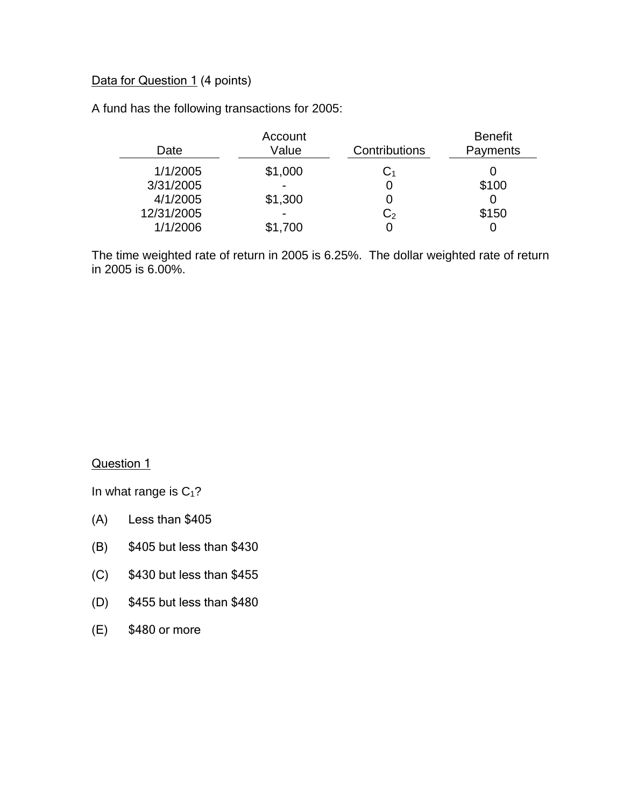## Data for Question 1 (4 points)

A fund has the following transactions for 2005:

|            | Account                  |                | <b>Benefit</b> |
|------------|--------------------------|----------------|----------------|
| Date       | Value                    | Contributions  | Payments       |
| 1/1/2005   | \$1,000                  | $\mathrm{C}_1$ |                |
| 3/31/2005  | $\overline{\phantom{0}}$ |                | \$100          |
| 4/1/2005   | \$1,300                  |                |                |
| 12/31/2005 | $\overline{\phantom{0}}$ | C <sub>2</sub> | \$150          |
| 1/1/2006   | \$1,700                  |                |                |

The time weighted rate of return in 2005 is 6.25%. The dollar weighted rate of return in 2005 is 6.00%.

Question 1

In what range is  $C_1$ ?

- (A) Less than \$405
- (B) \$405 but less than \$430
- (C) \$430 but less than \$455
- (D) \$455 but less than \$480
- (E) \$480 or more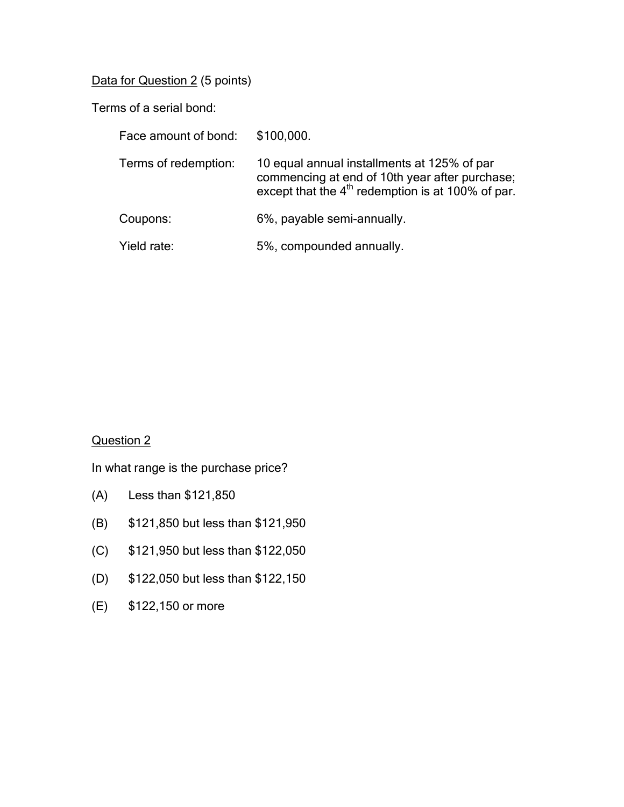Data for Question 2 (5 points)

Terms of a serial bond:

| Face amount of bond: | \$100,000.                                                                                                                                           |
|----------------------|------------------------------------------------------------------------------------------------------------------------------------------------------|
| Terms of redemption: | 10 equal annual installments at 125% of par<br>commencing at end of 10th year after purchase;<br>except that the $4th$ redemption is at 100% of par. |
| Coupons:             | 6%, payable semi-annually.                                                                                                                           |
| Yield rate:          | 5%, compounded annually.                                                                                                                             |

# Question 2

In what range is the purchase price?

- (A) Less than \$121,850
- (B) \$121,850 but less than \$121,950
- (C) \$121,950 but less than \$122,050
- (D) \$122,050 but less than \$122,150
- (E) \$122,150 or more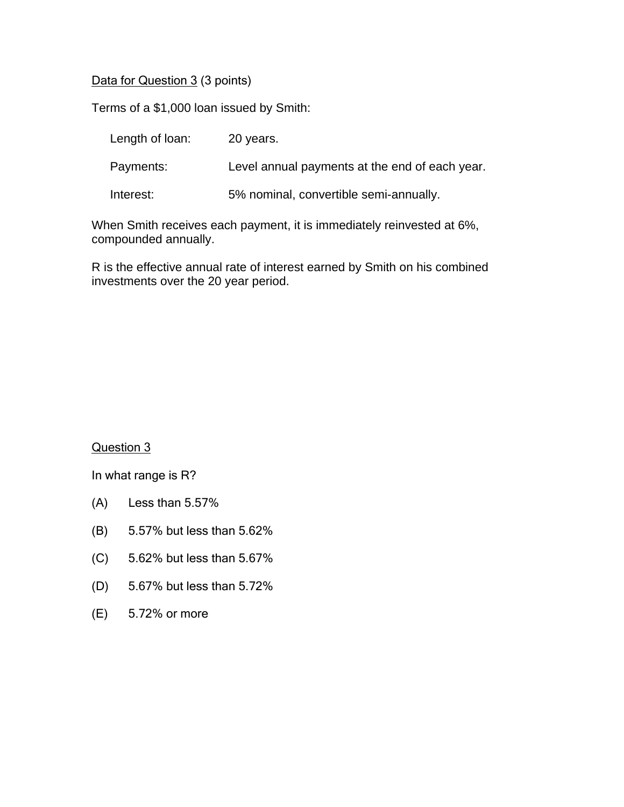Data for Question 3 (3 points)

Terms of a \$1,000 loan issued by Smith:

| Length of loan: | 20 years.                                      |
|-----------------|------------------------------------------------|
| Payments:       | Level annual payments at the end of each year. |
| Interest:       | 5% nominal, convertible semi-annually.         |

When Smith receives each payment, it is immediately reinvested at 6%, compounded annually.

R is the effective annual rate of interest earned by Smith on his combined investments over the 20 year period.

Question 3

- (A) Less than 5.57%
- (B) 5.57% but less than 5.62%
- (C) 5.62% but less than 5.67%
- (D) 5.67% but less than 5.72%
- (E) 5.72% or more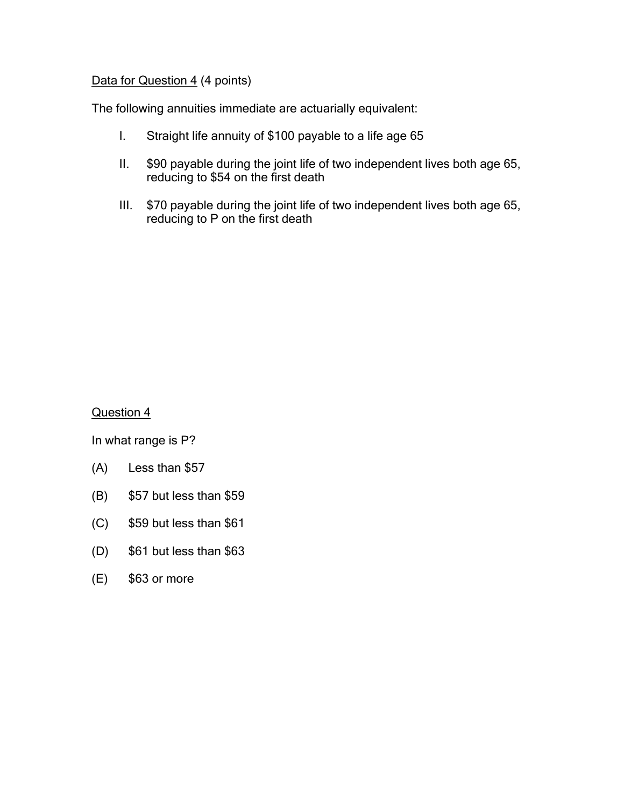## Data for Question 4 (4 points)

The following annuities immediate are actuarially equivalent:

- I. Straight life annuity of \$100 payable to a life age 65
- II. \$90 payable during the joint life of two independent lives both age 65, reducing to \$54 on the first death
- III. \$70 payable during the joint life of two independent lives both age 65, reducing to P on the first death

Question 4

- (A) Less than \$57
- (B) \$57 but less than \$59
- (C) \$59 but less than \$61
- (D) \$61 but less than \$63
- (E) \$63 or more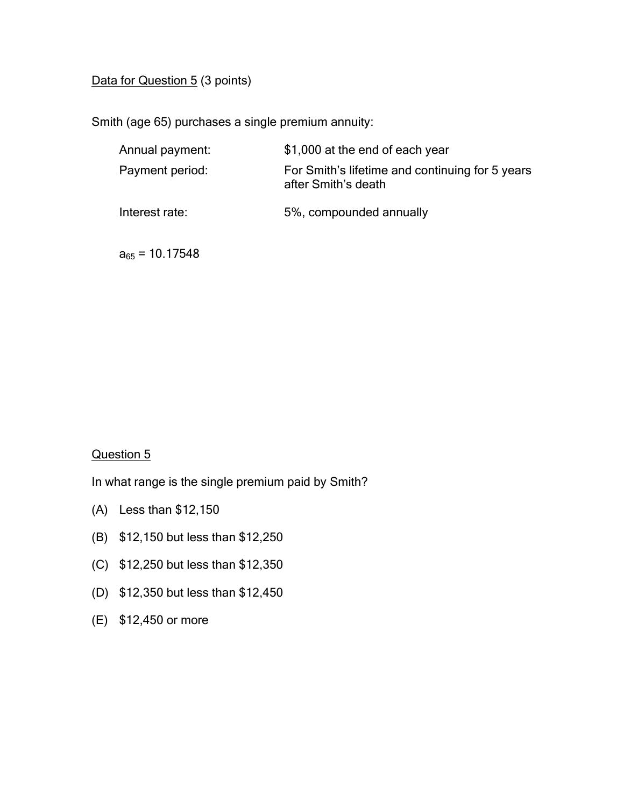## Data for Question 5 (3 points)

Smith (age 65) purchases a single premium annuity:

| Annual payment:     | \$1,000 at the end of each year                                        |
|---------------------|------------------------------------------------------------------------|
| Payment period:     | For Smith's lifetime and continuing for 5 years<br>after Smith's death |
| Interest rate:      | 5%, compounded annually                                                |
| $a_{65}$ = 10.17548 |                                                                        |

## Question 5

In what range is the single premium paid by Smith?

- (A) Less than \$12,150
- (B) \$12,150 but less than \$12,250
- (C) \$12,250 but less than \$12,350
- (D) \$12,350 but less than \$12,450
- (E) \$12,450 or more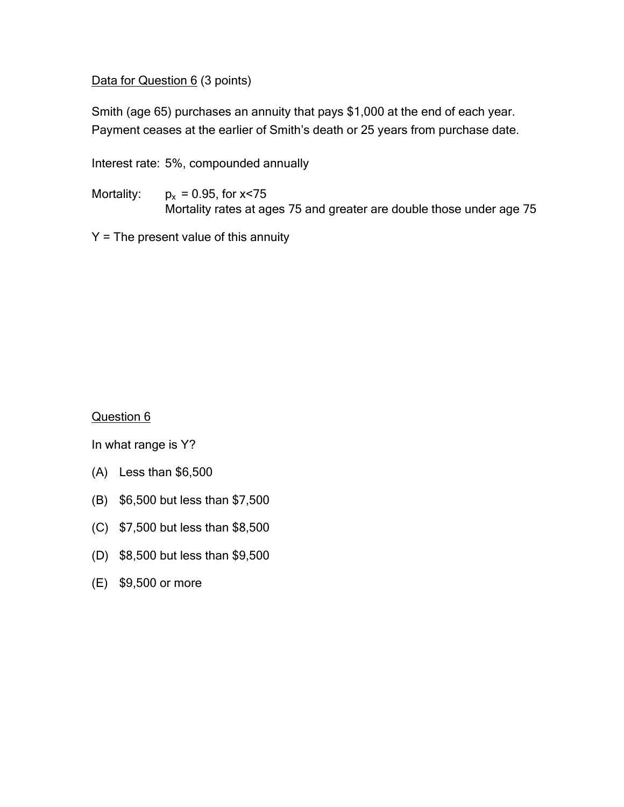Data for Question 6 (3 points)

Smith (age 65) purchases an annuity that pays \$1,000 at the end of each year. Payment ceases at the earlier of Smith's death or 25 years from purchase date.

Interest rate: 5%, compounded annually

Mortality:  $p_x = 0.95$ , for  $x < 75$ Mortality rates at ages 75 and greater are double those under age 75

 $Y =$  The present value of this annuity

Question 6

- (A) Less than \$6,500
- (B) \$6,500 but less than \$7,500
- (C) \$7,500 but less than \$8,500
- (D) \$8,500 but less than \$9,500
- (E) \$9,500 or more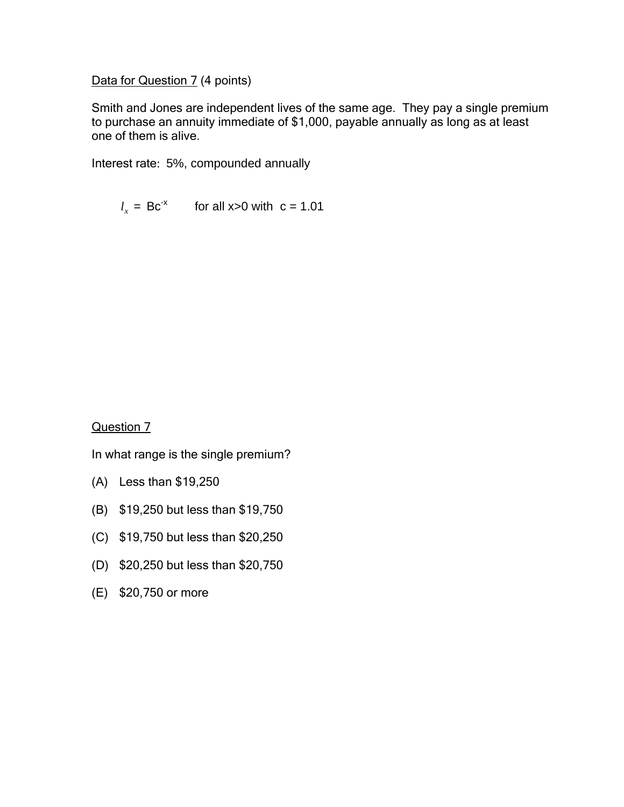Data for Question 7 (4 points)

Smith and Jones are independent lives of the same age. They pay a single premium to purchase an annuity immediate of \$1,000, payable annually as long as at least one of them is alive.

Interest rate: 5%, compounded annually

 $l_x = \text{Bc}^{-x}$  for all x>0 with  $c = 1.01$ 

Question 7

In what range is the single premium?

- (A) Less than \$19,250
- (B) \$19,250 but less than \$19,750
- (C) \$19,750 but less than \$20,250
- (D) \$20,250 but less than \$20,750
- (E) \$20,750 or more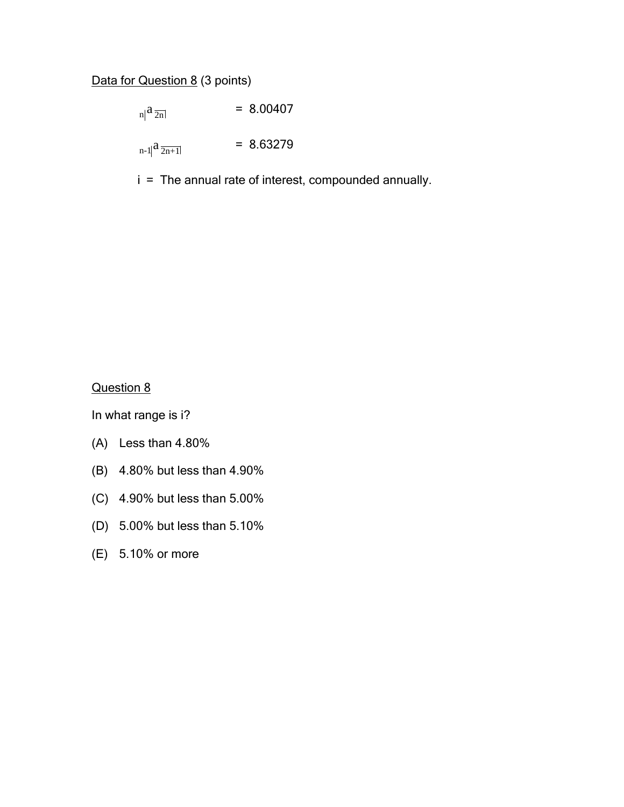# Data for Question 8 (3 points)

 $n \mid a_{\overline{2n}} \mid$  = 8.00407  $n-1$   $a \overline{2n+1}$  = 8.63279

i = The annual rate of interest, compounded annually.

Question 8

- (A) Less than 4.80%
- (B) 4.80% but less than 4.90%
- (C) 4.90% but less than 5.00%
- (D) 5.00% but less than 5.10%
- (E) 5.10% or more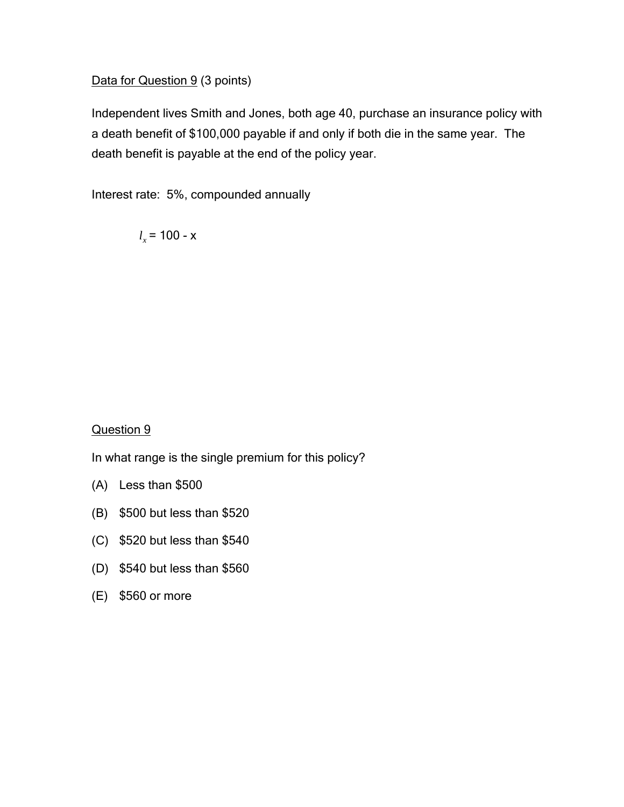### Data for Question 9 (3 points)

Independent lives Smith and Jones, both age 40, purchase an insurance policy with a death benefit of \$100,000 payable if and only if both die in the same year. The death benefit is payable at the end of the policy year.

Interest rate: 5%, compounded annually

 $l_x$  = 100 - x

### Question 9

In what range is the single premium for this policy?

- (A) Less than \$500
- (B) \$500 but less than \$520
- (C) \$520 but less than \$540
- (D) \$540 but less than \$560
- (E) \$560 or more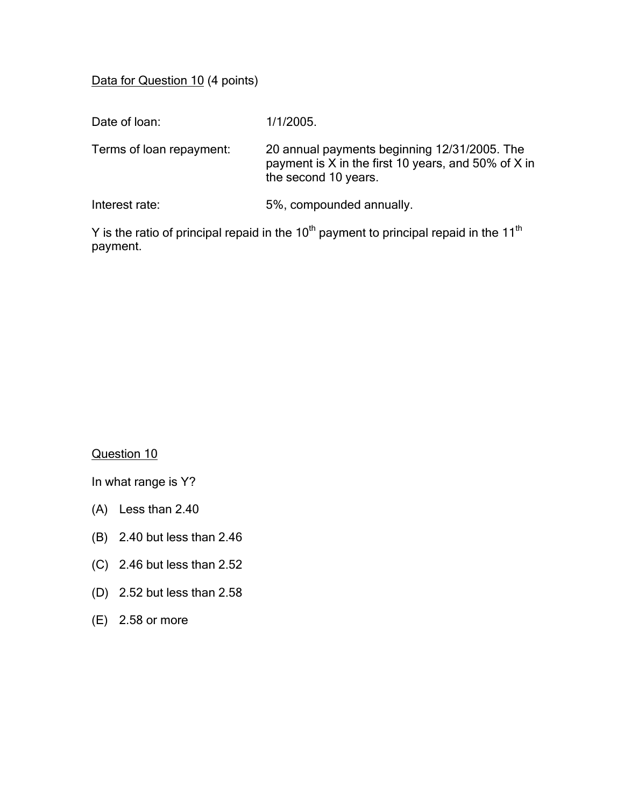Data for Question 10 (4 points)

| Date of loan:            | 1/1/2005.                                                                                                                   |
|--------------------------|-----------------------------------------------------------------------------------------------------------------------------|
| Terms of loan repayment: | 20 annual payments beginning 12/31/2005. The<br>payment is X in the first 10 years, and 50% of X in<br>the second 10 years. |
| Interest rate:           | 5%, compounded annually.                                                                                                    |

Y is the ratio of principal repaid in the  $10<sup>th</sup>$  payment to principal repaid in the  $11<sup>th</sup>$ payment.

## Question 10

- (A) Less than 2.40
- (B) 2.40 but less than 2.46
- (C) 2.46 but less than 2.52
- (D) 2.52 but less than 2.58
- (E) 2.58 or more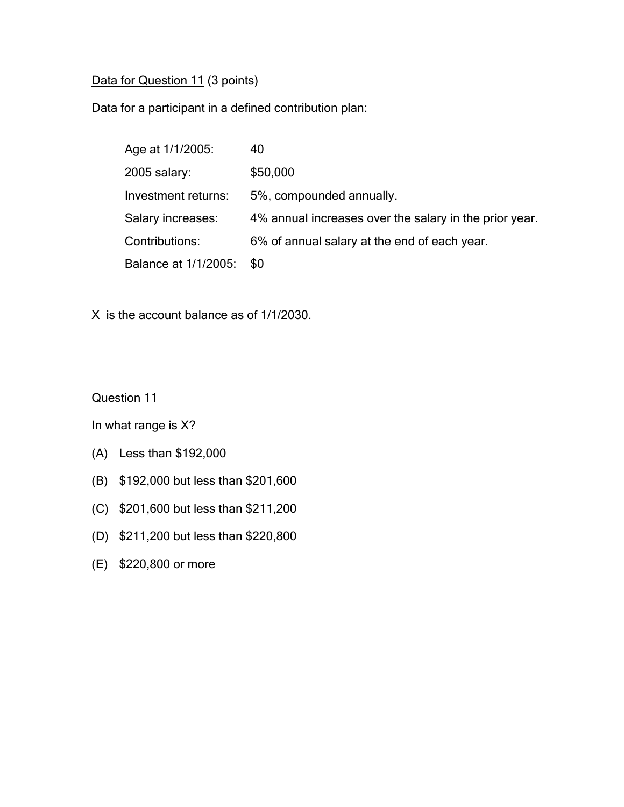## Data for Question 11 (3 points)

Data for a participant in a defined contribution plan:

| Age at 1/1/2005:     | 40                                                     |
|----------------------|--------------------------------------------------------|
| $2005$ salary:       | \$50,000                                               |
| Investment returns:  | 5%, compounded annually.                               |
| Salary increases:    | 4% annual increases over the salary in the prior year. |
| Contributions:       | 6% of annual salary at the end of each year.           |
| Balance at 1/1/2005: | \$0                                                    |

X is the account balance as of 1/1/2030.

Question 11

- (A) Less than \$192,000
- (B) \$192,000 but less than \$201,600
- (C) \$201,600 but less than \$211,200
- (D) \$211,200 but less than \$220,800
- (E) \$220,800 or more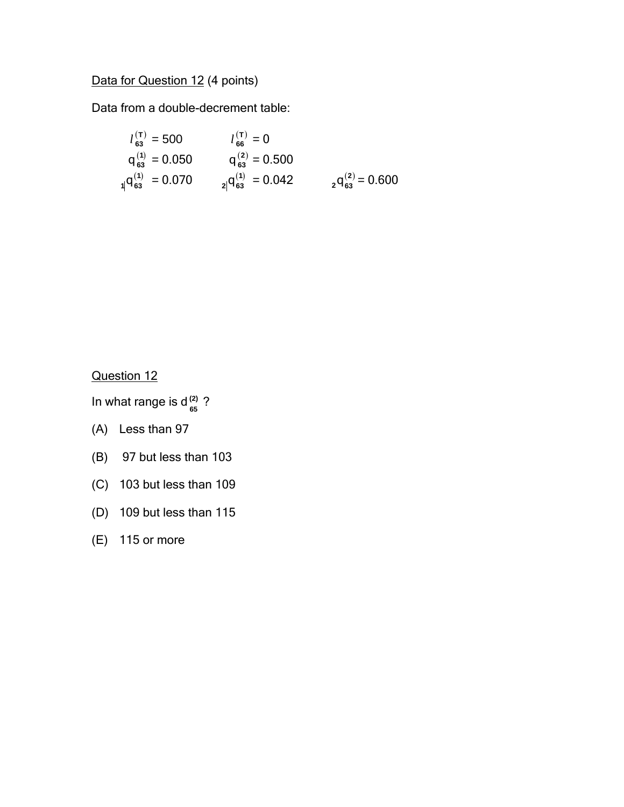# Data for Question 12 (4 points)

Data from a double-decrement table:

$$
l_{63}^{(T)} = 500
$$
  
\n
$$
l_{66}^{(T)} = 0
$$
  
\n
$$
q_{63}^{(1)} = 0.050
$$
  
\n
$$
l_{66}^{(2)} = 0.500
$$
  
\n
$$
q_{63}^{(2)} = 0.500
$$
  
\n
$$
l_{63}^{(3)} = 0.500
$$
  
\n
$$
l_{63}^{(4)} = 0.042
$$
  
\n
$$
l_{63}^{(5)} = 0.600
$$

Question 12

In what range is  $d_{65}^{(2)}$  ? **(2)**

- (A) Less than 97
- (B) 97 but less than 103
- (C) 103 but less than 109
- (D) 109 but less than 115
- (E) 115 or more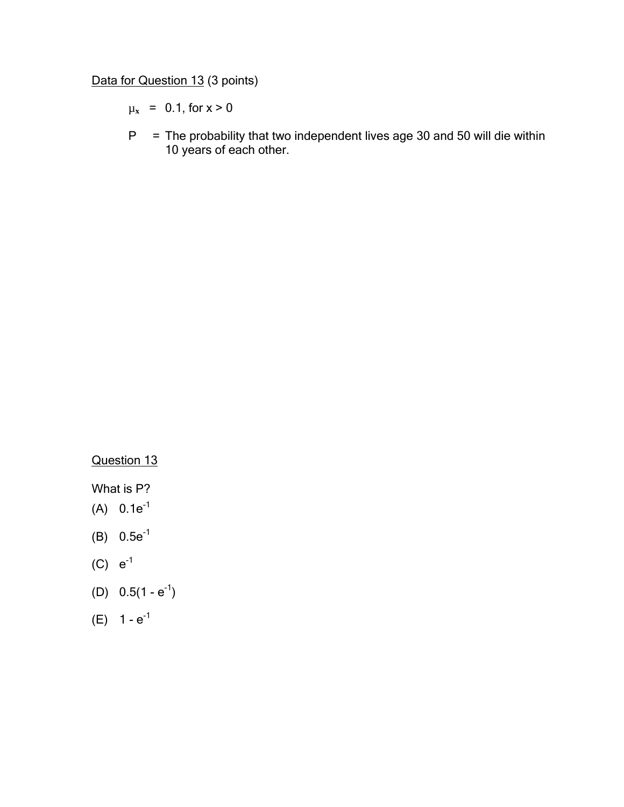Data for Question 13 (3 points)

 $\mu_x$  = 0.1, for  $x > 0$ 

 $P =$  The probability that two independent lives age 30 and 50 will die within 10 years of each other.

Question 13

What is P?

- $(A) 0.1e^{-1}$
- (B)  $0.5e^{-1}$
- (C)  $e^{-1}$
- (D)  $0.5(1 e^{-1})$
- (E)  $1 e^{-1}$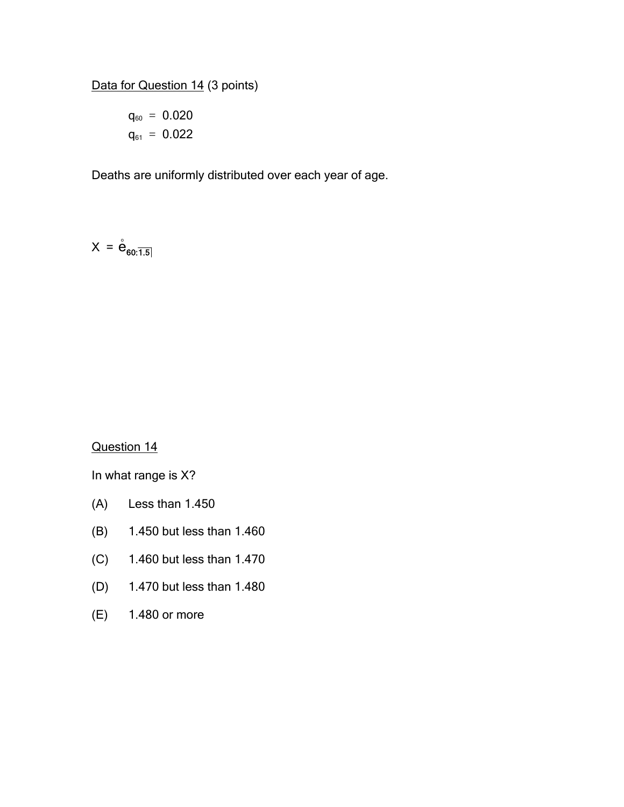Data for Question 14 (3 points)

$$
q_{60} = 0.020
$$
  

$$
q_{61} = 0.022
$$

Deaths are uniformly distributed over each year of age.

$$
X = \stackrel{\circ}{\mathbf{e}}_{60:\overline{1.5}}
$$

Question 14

- (A) Less than 1.450
- (B) 1.450 but less than 1.460
- (C) 1.460 but less than 1.470
- (D) 1.470 but less than 1.480
- (E) 1.480 or more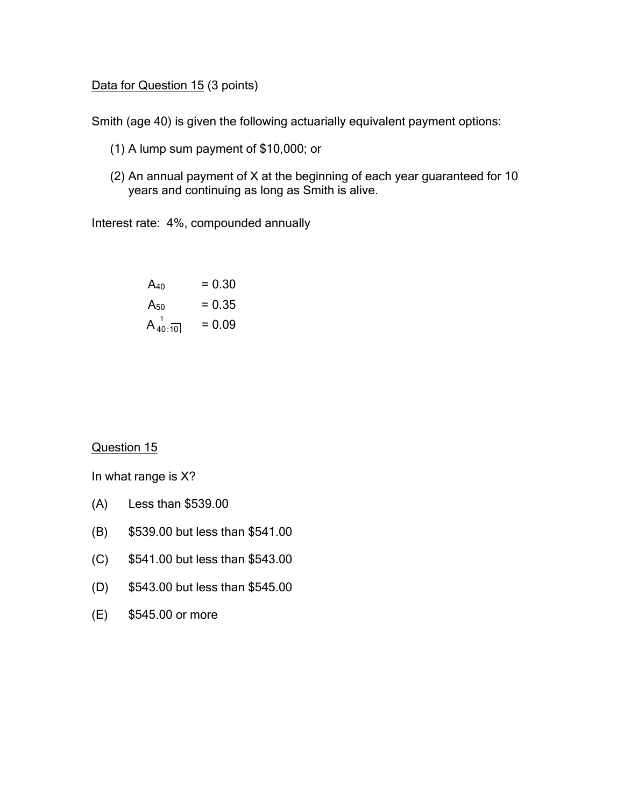Data for Question 15 (3 points)

Smith (age 40) is given the following actuarially equivalent payment options:

- (1) A lump sum payment of \$10,000; or
- (2) An annual payment of X at the beginning of each year guaranteed for 10 years and continuing as long as Smith is alive.

Interest rate: 4%, compounded annually

| $A_{40}$    | $= 0.30$ |
|-------------|----------|
| $A_{50}$    | $= 0.35$ |
| $A_{40:10}$ | $= 0.09$ |

Question 15

- (A) Less than \$539.00
- (B) \$539.00 but less than \$541.00
- (C) \$541.00 but less than \$543.00
- (D) \$543.00 but less than \$545.00
- (E) \$545.00 or more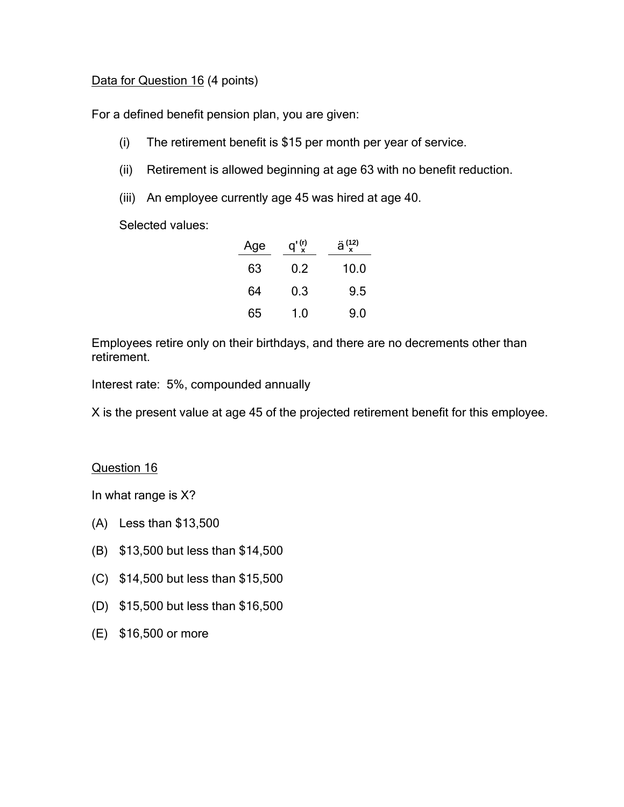### Data for Question 16 (4 points)

For a defined benefit pension plan, you are given:

- (i) The retirement benefit is \$15 per month per year of service.
- (ii) Retirement is allowed beginning at age 63 with no benefit reduction.
- (iii) An employee currently age 45 was hired at age 40.

Selected values:

| Age | $q'$ <sup>(r)</sup> | $\ddot{a}^{(12)}$ |
|-----|---------------------|-------------------|
| 63  | 02                  | 10.0              |
| 64  | 0.3                 | 9.5               |
| 65  | 1.0                 | 9.0               |

Employees retire only on their birthdays, and there are no decrements other than retirement.

Interest rate: 5%, compounded annually

X is the present value at age 45 of the projected retirement benefit for this employee.

### Question 16

- (A) Less than \$13,500
- (B) \$13,500 but less than \$14,500
- (C) \$14,500 but less than \$15,500
- (D) \$15,500 but less than \$16,500
- (E) \$16,500 or more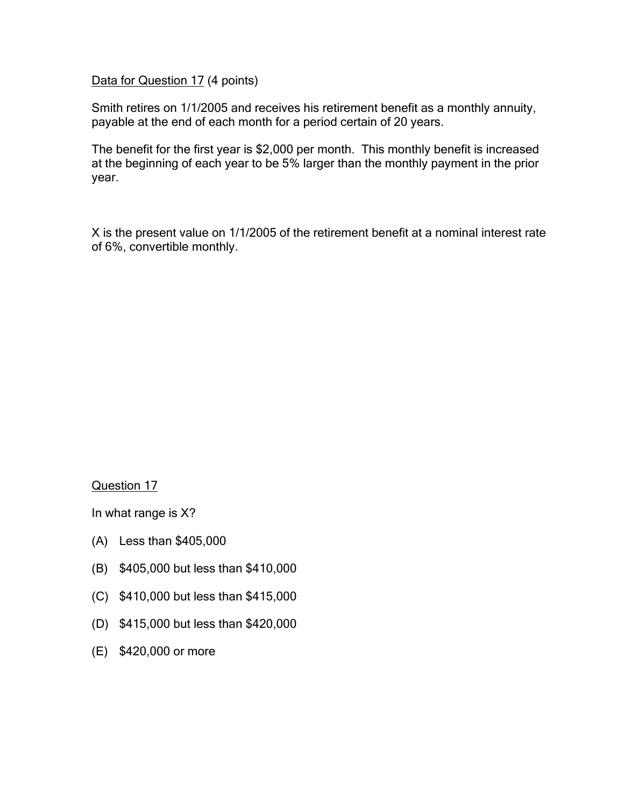Data for Question 17 (4 points)

Smith retires on 1/1/2005 and receives his retirement benefit as a monthly annuity, payable at the end of each month for a period certain of 20 years.

The benefit for the first year is \$2,000 per month. This monthly benefit is increased at the beginning of each year to be 5% larger than the monthly payment in the prior year.

X is the present value on 1/1/2005 of the retirement benefit at a nominal interest rate of 6%, convertible monthly.

Question 17

- (A) Less than \$405,000
- (B) \$405,000 but less than \$410,000
- (C) \$410,000 but less than \$415,000
- (D) \$415,000 but less than \$420,000
- (E) \$420,000 or more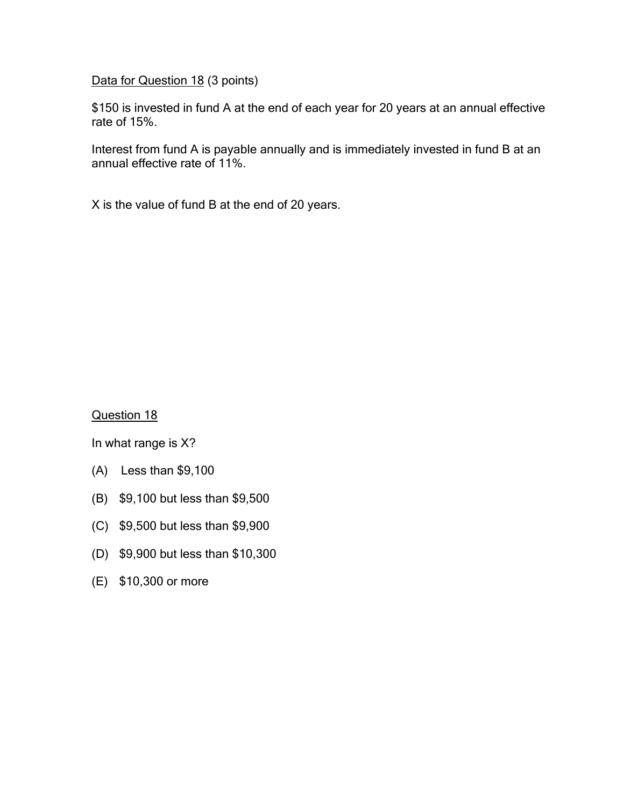Data for Question 18 (3 points)

\$150 is invested in fund A at the end of each year for 20 years at an annual effective rate of 15%.

Interest from fund A is payable annually and is immediately invested in fund B at an annual effective rate of 11%.

X is the value of fund B at the end of 20 years.

Question 18

- (A) Less than \$9,100
- (B) \$9,100 but less than \$9,500
- (C) \$9,500 but less than \$9,900
- (D) \$9,900 but less than \$10,300
- (E) \$10,300 or more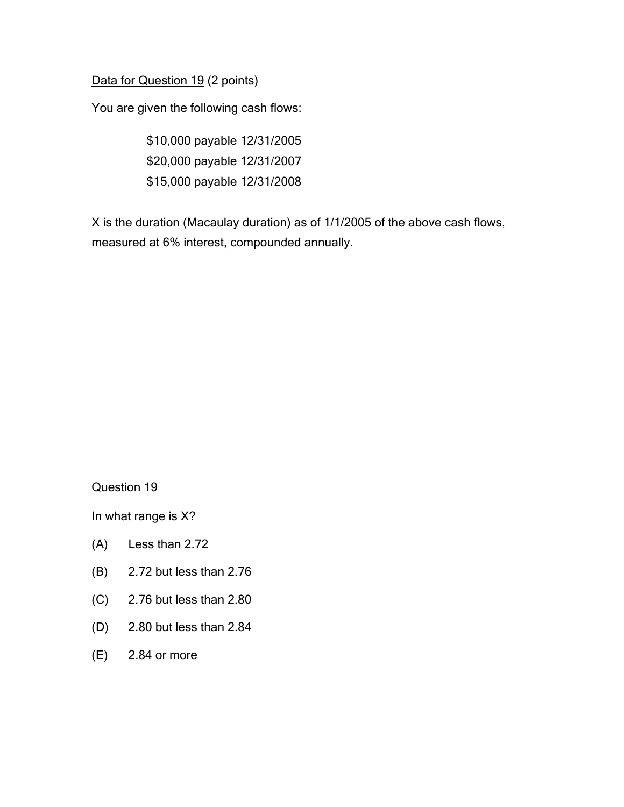Data for Question 19 (2 points)

You are given the following cash flows:

\$10,000 payable 12/31/2005 \$20,000 payable 12/31/2007 \$15,000 payable 12/31/2008

X is the duration (Macaulay duration) as of 1/1/2005 of the above cash flows, measured at 6% interest, compounded annually.

### Question 19

- (A) Less than 2.72
- (B) 2.72 but less than 2.76
- (C) 2.76 but less than 2.80
- (D) 2.80 but less than 2.84
- (E) 2.84 or more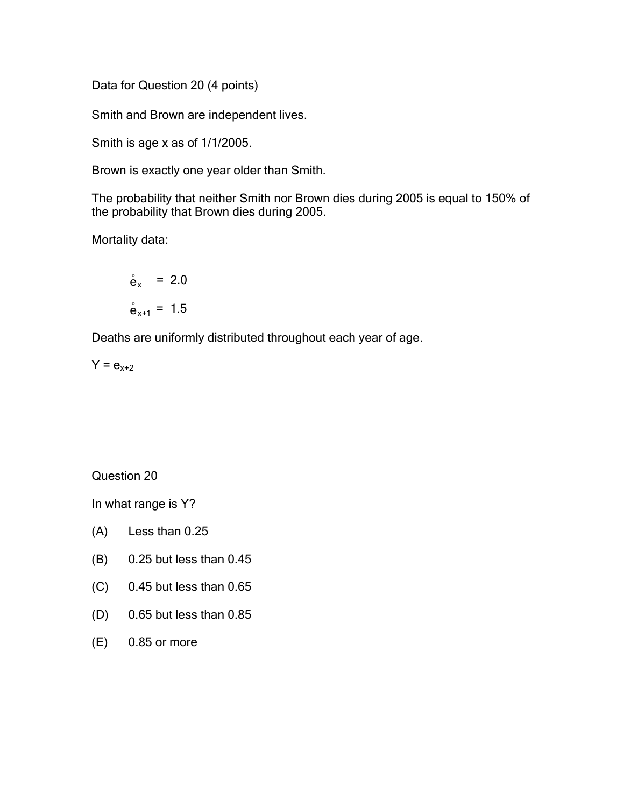Data for Question 20 (4 points)

Smith and Brown are independent lives.

Smith is age x as of 1/1/2005.

Brown is exactly one year older than Smith.

The probability that neither Smith nor Brown dies during 2005 is equal to 150% of the probability that Brown dies during 2005.

Mortality data:

$$
\dot{\mathbf{e}}_{x} = 2.0
$$

$$
\dot{\mathbf{e}}_{x+1} = 1.5
$$

Deaths are uniformly distributed throughout each year of age.

$$
Y = e_{x+2}
$$

Question 20

- (A) Less than 0.25
- (B) 0.25 but less than 0.45
- (C) 0.45 but less than 0.65
- (D) 0.65 but less than 0.85
- (E) 0.85 or more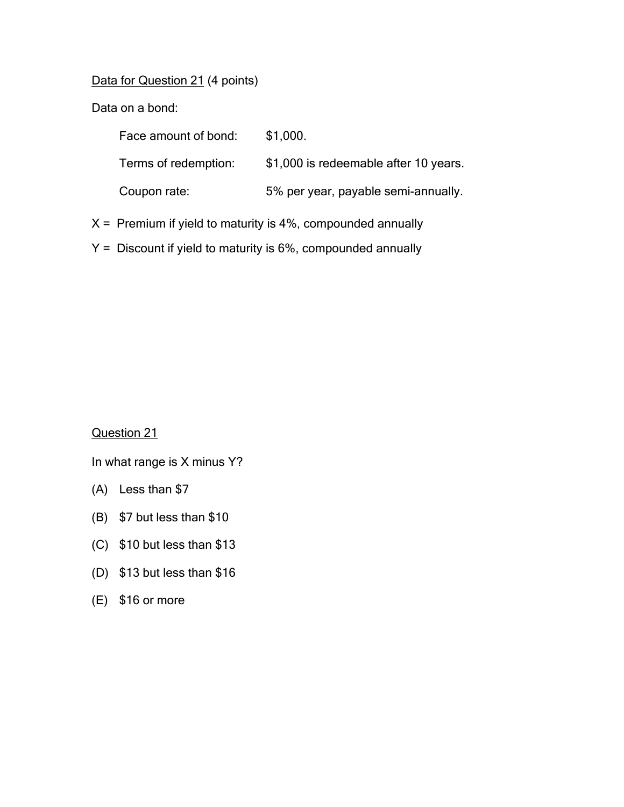Data for Question 21 (4 points)

Data on a bond:

| Face amount of bond: | \$1,000.                              |
|----------------------|---------------------------------------|
| Terms of redemption: | \$1,000 is redeemable after 10 years. |
| Coupon rate:         | 5% per year, payable semi-annually.   |
|                      |                                       |

- $X =$  Premium if yield to maturity is 4%, compounded annually
- Y = Discount if yield to maturity is 6%, compounded annually

Question 21

In what range is X minus Y?

- (A) Less than \$7
- (B) \$7 but less than \$10
- (C) \$10 but less than \$13
- (D) \$13 but less than \$16
- (E) \$16 or more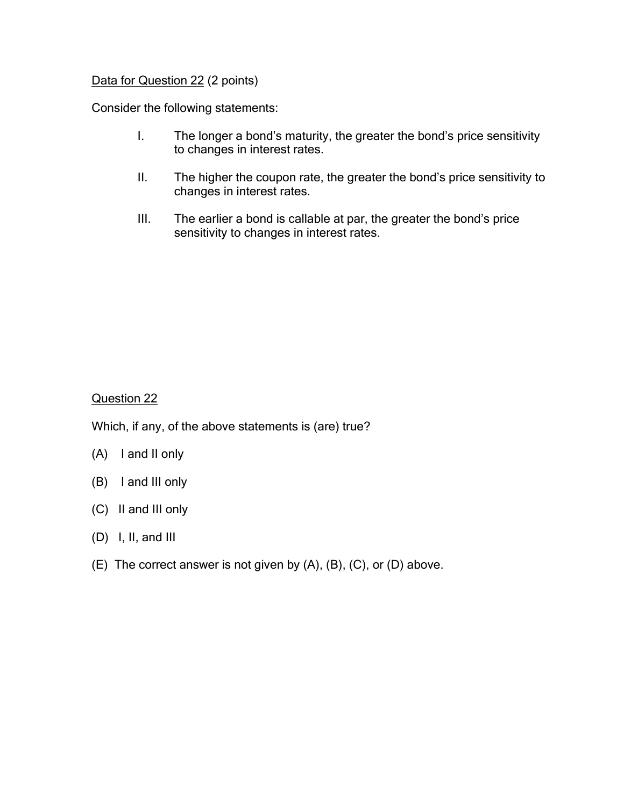### Data for Question 22 (2 points)

Consider the following statements:

- I. The longer a bond's maturity, the greater the bond's price sensitivity to changes in interest rates.
- II. The higher the coupon rate, the greater the bond's price sensitivity to changes in interest rates.
- III. The earlier a bond is callable at par, the greater the bond's price sensitivity to changes in interest rates.

### Question 22

Which, if any, of the above statements is (are) true?

- (A) I and II only
- (B) I and III only
- (C) II and III only
- (D) I, II, and III
- (E) The correct answer is not given by (A), (B), (C), or (D) above.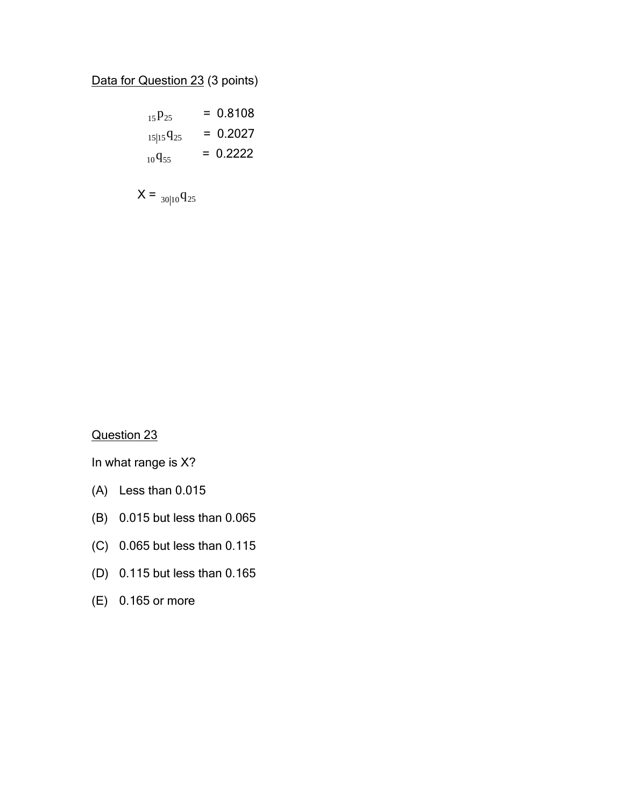# Data for Question 23 (3 points)

$$
{}_{15}P_{25} = 0.8108
$$
  

$$
{}_{15|15}q_{25} = 0.2027
$$
  

$$
{}_{10}q_{55} = 0.2222
$$

$$
X = \frac{30|10}{q_{25}}
$$

Question 23

- (A) Less than 0.015
- (B) 0.015 but less than 0.065
- (C) 0.065 but less than 0.115
- (D) 0.115 but less than 0.165
- (E) 0.165 or more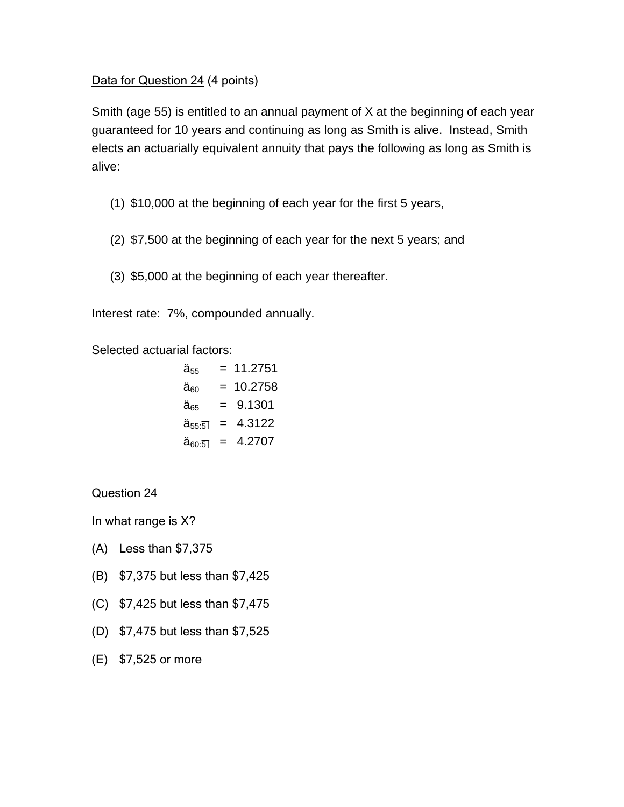### Data for Question 24 (4 points)

Smith (age 55) is entitled to an annual payment of X at the beginning of each year guaranteed for 10 years and continuing as long as Smith is alive. Instead, Smith elects an actuarially equivalent annuity that pays the following as long as Smith is alive:

- (1) \$10,000 at the beginning of each year for the first 5 years,
- (2) \$7,500 at the beginning of each year for the next 5 years; and
- (3) \$5,000 at the beginning of each year thereafter.

Interest rate: 7%, compounded annually.

Selected actuarial factors:

$$
\ddot{a}_{55} = 11.2751
$$
\n
$$
\ddot{a}_{60} = 10.2758
$$
\n
$$
\ddot{a}_{65} = 9.1301
$$
\n
$$
\ddot{a}_{55:5} = 4.3122
$$
\n
$$
\ddot{a}_{60:5} = 4.2707
$$

Question 24

- (A) Less than \$7,375
- (B) \$7,375 but less than \$7,425
- (C) \$7,425 but less than \$7,475
- (D) \$7,475 but less than \$7,525
- (E) \$7,525 or more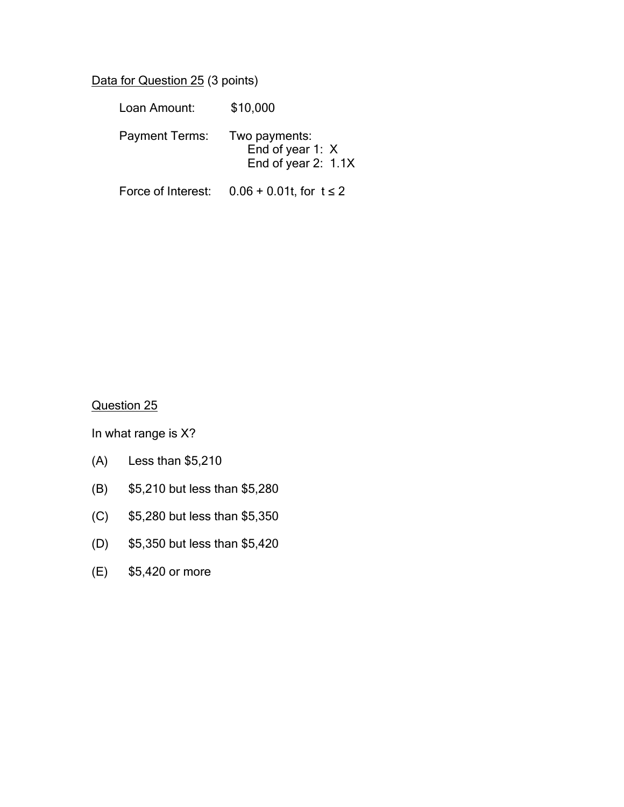Data for Question 25 (3 points)

| Loan Amount:          | \$10,000                                                   |
|-----------------------|------------------------------------------------------------|
| <b>Payment Terms:</b> | Two payments:<br>End of year 1: X<br>End of year $2: 1.1X$ |

Force of Interest:  $0.06 + 0.01t$ , for  $t \le 2$ 

Question 25

- (A) Less than \$5,210
- (B) \$5,210 but less than \$5,280
- (C) \$5,280 but less than \$5,350
- (D) \$5,350 but less than \$5,420
- (E) \$5,420 or more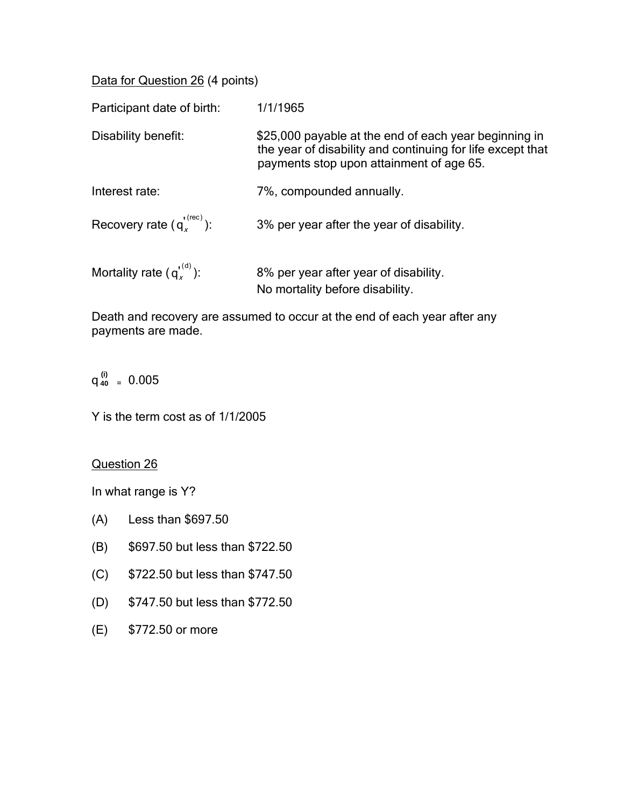Data for Question 26 (4 points)

| Participant date of birth:       | 1/1/1965                                                                                                                                                        |
|----------------------------------|-----------------------------------------------------------------------------------------------------------------------------------------------------------------|
| Disability benefit:              | \$25,000 payable at the end of each year beginning in<br>the year of disability and continuing for life except that<br>payments stop upon attainment of age 65. |
| Interest rate:                   | 7%, compounded annually.                                                                                                                                        |
| Recovery rate $(q_v^{(rec)})$ :  | 3% per year after the year of disability.                                                                                                                       |
| Mortality rate $(q_\nu^{(0)})$ : | 8% per year after year of disability.<br>No mortality before disability.                                                                                        |

Death and recovery are assumed to occur at the end of each year after any payments are made.

 $q_{40}^{(i)} = 0.005$ 

Y is the term cost as of 1/1/2005

Question 26

- (A) Less than \$697.50
- (B) \$697.50 but less than \$722.50
- (C) \$722.50 but less than \$747.50
- (D) \$747.50 but less than \$772.50
- (E) \$772.50 or more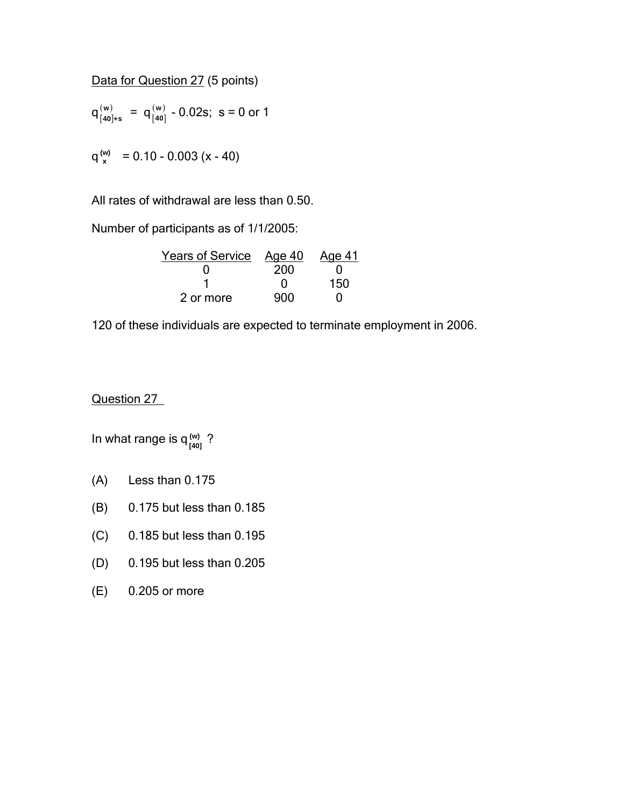Data for Question 27 (5 points)

$$
q_{[40]*s}^{(w)} = q_{[40]}^{(w)} - 0.02s; s = 0 \text{ or } 1
$$

 $q_x^{(w)} = 0.10 - 0.003 (x - 40)$ 

All rates of withdrawal are less than 0.50.

Number of participants as of 1/1/2005:

| Years of Service Age 40 |     | Age 41 |
|-------------------------|-----|--------|
|                         | 200 |        |
|                         |     | 150    |
| 2 or more               | 900 |        |

120 of these individuals are expected to terminate employment in 2006.

### Question 27\_

In what range is  $q_{\frac{1}{40}}^{(\text{w})}$  ? **(w)**

- (A) Less than 0.175
- (B) 0.175 but less than 0.185
- (C) 0.185 but less than 0.195
- (D) 0.195 but less than 0.205
- (E) 0.205 or more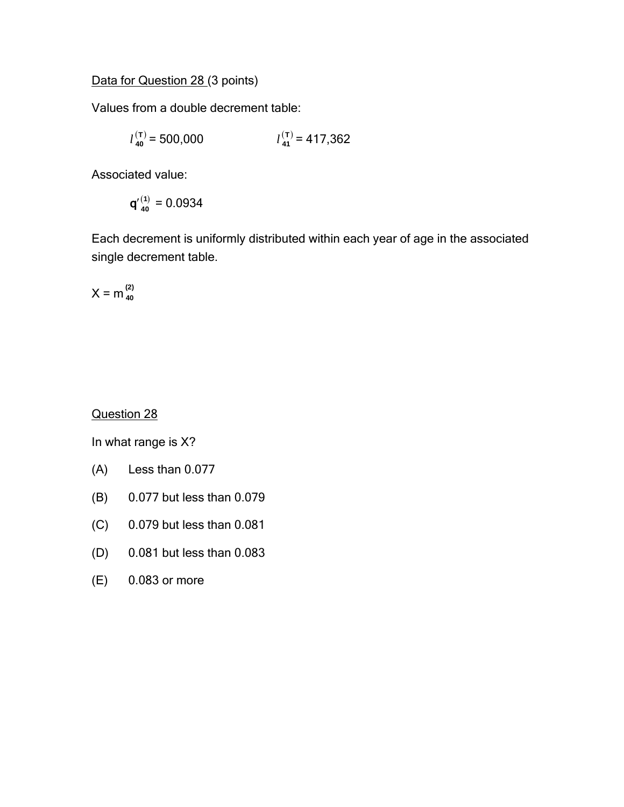Data for Question 28 (3 points)

Values from a double decrement table:

$$
l_{40}^{(\mathsf{T})} = 500,000 \qquad \qquad l_{41}^{(\mathsf{T})} = 417,362
$$

Associated value:

$$
q'^{(1)}_{40}=0.0934
$$

Each decrement is uniformly distributed within each year of age in the associated single decrement table.

$$
X = m_{40}^{(2)}
$$

Question 28

- (A) Less than 0.077
- (B) 0.077 but less than 0.079
- (C) 0.079 but less than 0.081
- (D) 0.081 but less than 0.083
- (E) 0.083 or more